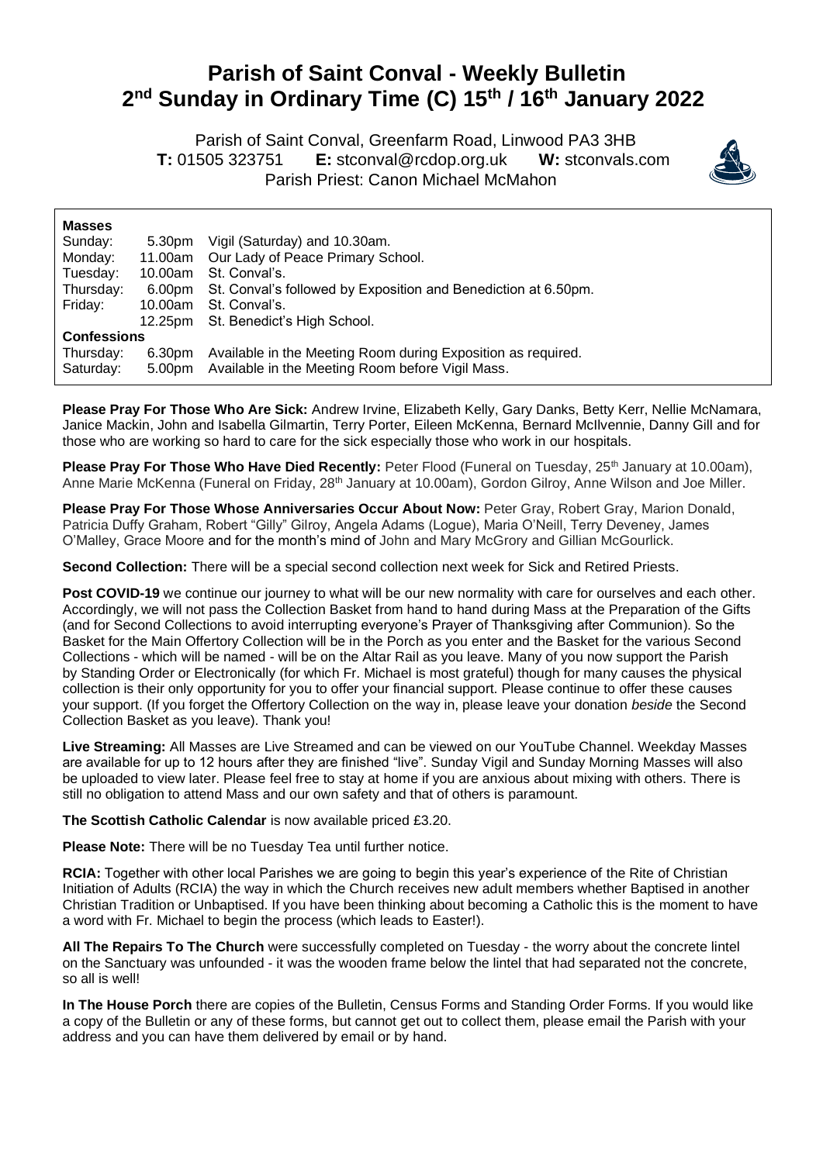## **Parish of Saint Conval - Weekly Bulletin 2 nd Sunday in Ordinary Time (C) 15th / 16th January 2022**

 Parish of Saint Conval, Greenfarm Road, Linwood PA3 3HB **T:** 01505 323751 **E:** [stconval@rcdop.org.uk](mailto:stconval@rcdop.org.uk) **W:** stconvals.com Parish Priest: Canon Michael McMahon



| <b>Masses</b>      |         |                                                                |
|--------------------|---------|----------------------------------------------------------------|
| Sunday:            | 5.30pm  | Vigil (Saturday) and 10.30am.                                  |
| Monday:            | 11.00am | Our Lady of Peace Primary School.                              |
| Tuesday:           | 10.00am | St. Conval's.                                                  |
| Thursday:          | 6.00pm  | St. Conval's followed by Exposition and Benediction at 6.50pm. |
| Friday:            | 10.00am | St. Conval's.                                                  |
|                    | 12.25pm | St. Benedict's High School.                                    |
| <b>Confessions</b> |         |                                                                |
| Thursday:          | 6.30pm  | Available in the Meeting Room during Exposition as required.   |
| Saturday:          | 5.00pm  | Available in the Meeting Room before Vigil Mass.               |

**Please Pray For Those Who Are Sick:** Andrew Irvine, Elizabeth Kelly, Gary Danks, Betty Kerr, Nellie McNamara, Janice Mackin, John and Isabella Gilmartin, Terry Porter, Eileen McKenna, Bernard McIlvennie, Danny Gill and for those who are working so hard to care for the sick especially those who work in our hospitals.

**Please Pray For Those Who Have Died Recently:** Peter Flood (Funeral on Tuesday, 25<sup>th</sup> January at 10.00am), Anne Marie McKenna (Funeral on Friday, 28<sup>th</sup> January at 10.00am), Gordon Gilroy, Anne Wilson and Joe Miller.

**Please Pray For Those Whose Anniversaries Occur About Now:** Peter Gray, Robert Gray, Marion Donald, Patricia Duffy Graham, Robert "Gilly" Gilroy, Angela Adams (Logue), Maria O'Neill, Terry Deveney, James O'Malley, Grace Moore and for the month's mind of John and Mary McGrory and Gillian McGourlick.

**Second Collection:** There will be a special second collection next week for Sick and Retired Priests.

Post COVID-19 we continue our journey to what will be our new normality with care for ourselves and each other. Accordingly, we will not pass the Collection Basket from hand to hand during Mass at the Preparation of the Gifts (and for Second Collections to avoid interrupting everyone's Prayer of Thanksgiving after Communion). So the Basket for the Main Offertory Collection will be in the Porch as you enter and the Basket for the various Second Collections - which will be named - will be on the Altar Rail as you leave. Many of you now support the Parish by Standing Order or Electronically (for which Fr. Michael is most grateful) though for many causes the physical collection is their only opportunity for you to offer your financial support. Please continue to offer these causes your support. (If you forget the Offertory Collection on the way in, please leave your donation *beside* the Second Collection Basket as you leave). Thank you!

**Live Streaming:** All Masses are Live Streamed and can be viewed on our YouTube Channel. Weekday Masses are available for up to 12 hours after they are finished "live". Sunday Vigil and Sunday Morning Masses will also be uploaded to view later. Please feel free to stay at home if you are anxious about mixing with others. There is still no obligation to attend Mass and our own safety and that of others is paramount.

**The Scottish Catholic Calendar** is now available priced £3.20.

**Please Note:** There will be no Tuesday Tea until further notice.

**RCIA:** Together with other local Parishes we are going to begin this year's experience of the Rite of Christian Initiation of Adults (RCIA) the way in which the Church receives new adult members whether Baptised in another Christian Tradition or Unbaptised. If you have been thinking about becoming a Catholic this is the moment to have a word with Fr. Michael to begin the process (which leads to Easter!).

**All The Repairs To The Church** were successfully completed on Tuesday - the worry about the concrete lintel on the Sanctuary was unfounded - it was the wooden frame below the lintel that had separated not the concrete, so all is well!

**In The House Porch** there are copies of the Bulletin, Census Forms and Standing Order Forms. If you would like a copy of the Bulletin or any of these forms, but cannot get out to collect them, please email the Parish with your address and you can have them delivered by email or by hand.